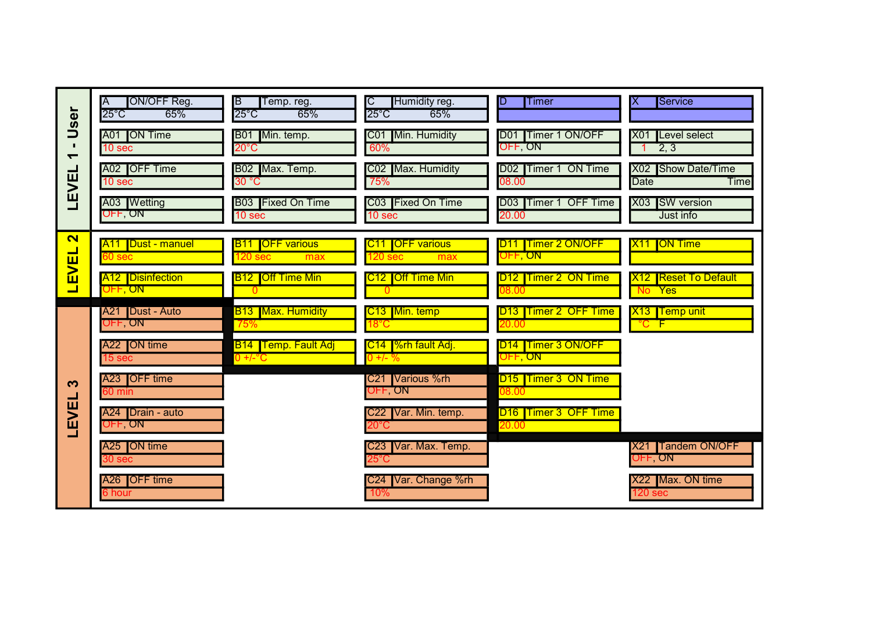| <b>Ser</b><br>Ë<br>$\blacksquare$ | ON/OFF Reg.<br>$25^{\circ}$ C<br>65%     | ΙB<br>Temp. reg.<br>$25^{\circ}$ C<br>65%               | Humidity reg.<br>$25^{\circ}$ C<br>65%           | <b>Timer</b>                               | Service                                           |
|-----------------------------------|------------------------------------------|---------------------------------------------------------|--------------------------------------------------|--------------------------------------------|---------------------------------------------------|
|                                   | A01 ON Time<br>10 sec                    | Min. temp.<br><b>B01</b><br>$20^{\circ}$ C              | Min. Humidity<br>CO <sub>1</sub><br>60%          | D01 Timer 1 ON/OFF<br>OFF ON               | Level select<br><b>X01</b><br>2, 3                |
| LEVEI                             | A02 OFF Time<br>10 sec                   | B02 Max. Temp.<br>30 °C                                 | Max. Humidity<br>CO <sub>2</sub><br>75%          | D02 Timer 1 ON Time<br>08.00               | Show Date/Time<br><b>X02</b><br>Time<br>Date      |
|                                   | A03 Wetting<br>OFF, ON                   | <b>B03</b> Fixed On Time<br>10 sec                      | C03 Fixed On Time<br>10 sec                      | D03 Timer 1 OFF Time<br>20.00              | <b>ISW</b> version<br><b>X03</b><br>Just info     |
| $\overline{\mathbf{N}}$           | <b>A11</b>   Dust - manuel<br>60 sec     | <b>OFF</b> various<br>B11.<br>120 <sub>sec</sub><br>max | C11 OFF various<br>120 <sub>sec</sub><br>max     | D11 Timer 2 ON/OFF<br>OFF, ON              | X <sub>11</sub> ON Time                           |
| LEVEL                             | <b>A12</b> Disinfection<br>OFF, ON       | <b>Off Time Min</b><br><u>B12 </u><br>$\Omega$          | C12 Off Time Min<br>$\overline{0}$               | D12 Timer 2 ON Time<br>08.00               | X12 Reset To Default<br>No Yes                    |
| က<br>EVEI                         | A21 Dust - Auto<br>OFF ON                | <b>B13</b> Max. Humidity<br>75%                         | C13 Min. temp<br>$18^{\circ}$ C                  | <b>D13 Timer 2 OFF Time</b><br>20.00       | X13 Temp unit<br>$^{\circ}$ C F                   |
|                                   | A22 <b>JON</b> time<br>15 sec            | <b>B14 Temp. Fault Adj</b><br>$0 +/-$ °C                | C14   %rh fault Adj.<br>0 +/- %                  | D <sub>14</sub>   Timer 3 ON/OFF<br>OFF ON |                                                   |
|                                   | A23 <b>IOFF</b> time<br>$60 \text{ min}$ |                                                         | C21 Various %rh<br>OFF ON                        | D <sub>15</sub> Timer 3 ON Time<br>08.00   |                                                   |
|                                   | A24   Drain - auto<br>OFF ON             |                                                         | Var. Min. temp.<br>C22<br>$20^{\circ}\textrm{C}$ | D16 Timer 3 OFF Time<br>20.00              |                                                   |
|                                   | A25 <b>JON</b> time<br>30 <sub>sec</sub> |                                                         | Var. Max. Temp.<br>C <sub>23</sub><br>25°C       |                                            | <b>Tandem ON/OFF</b><br>X <sub>21</sub><br>OFF ON |
|                                   | A26 <b>IOFF</b> time<br>6 hour           |                                                         | Var. Change %rh<br>C <sub>24</sub><br>10%        |                                            | X22 Max. ON time<br>120 sec                       |